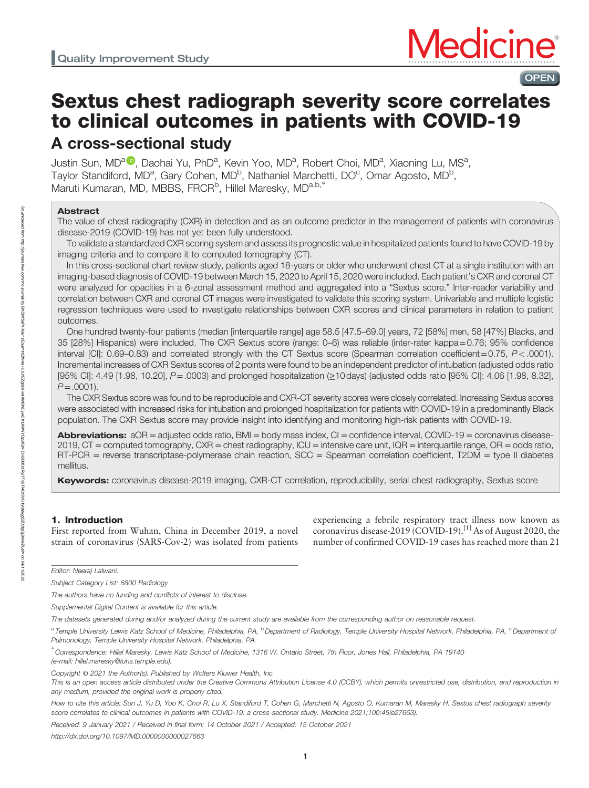# Sextus chest radiograph severity score correlates to clinical outcomes in patients with COVID-19 A cross-sectional study

Justin Sun, MD<sup>[a](https://orcid.org/0000-0002-1879-1598) (D</sup>, Daohai Yu, PhD<sup>a</sup>, Kevin Yoo, MD<sup>a</sup>, Robert Choi, MD<sup>a</sup>, Xiaoning Lu, MS<sup>a</sup>, Taylor Standiford, MD<sup>a</sup>, Gary Cohen, MD<sup>b</sup>, Nathaniel Marchetti, DO<sup>c</sup>, Omar Agosto, MD<sup>b</sup>, Maruti Kumaran, MD, MBBS, FRCR<sup>b</sup>, Hillel Maresky, MD<sup>a,b,\*</sup>

## Abstract

The value of chest radiography (CXR) in detection and as an outcome predictor in the management of patients with coronavirus disease-2019 (COVID-19) has not yet been fully understood.

To validate a standardized CXR scoring system and assess its prognostic value in hospitalized patients found to have COVID-19 by imaging criteria and to compare it to computed tomography (CT).

In this cross-sectional chart review study, patients aged 18-years or older who underwent chest CT at a single institution with an imaging-based diagnosis of COVID-19 between March 15, 2020 to April 15, 2020 were included. Each patient's CXR and coronal CT were analyzed for opacities in a 6-zonal assessment method and aggregated into a "Sextus score." Inter-reader variability and correlation between CXR and coronal CT images were investigated to validate this scoring system. Univariable and multiple logistic regression techniques were used to investigate relationships between CXR scores and clinical parameters in relation to patient outcomes.

One hundred twenty-four patients (median [interquartile range] age 58.5 [47.5–69.0] years, 72 [58%] men, 58 [47%] Blacks, and 35 [28%] Hispanics) were included. The CXR Sextus score (range: 0–6) was reliable (inter-rater kappa=0.76; 95% confidence interval [CI]: 0.69–0.83) and correlated strongly with the CT Sextus score (Spearman correlation coefficient=0.75, P<.0001). Incremental increases of CXR Sextus scores of 2 points were found to be an independent predictor of intubation (adjusted odds ratio [95% CI]: 4.49 [1.98, 10.20], P=.0003) and prolonged hospitalization (≥10 days) (adjusted odds ratio [95% CI]: 4.06 [1.98, 8.32],  $P = .0001$ ).

The CXR Sextus score was found to be reproducible and CXR-CT severity scores were closely correlated. Increasing Sextus scores were associated with increased risks for intubation and prolonged hospitalization for patients with COVID-19 in a predominantly Black population. The CXR Sextus score may provide insight into identifying and monitoring high-risk patients with COVID-19.

Abbreviations:  $aOR =$  adjusted odds ratio, BMI = body mass index, CI = confidence interval, COVID-19 = coronavirus disease-2019, CT = computed tomography, CXR = chest radiography, ICU = intensive care unit, IQR = interquartile range, OR = odds ratio, RT-PCR = reverse transcriptase-polymerase chain reaction, SCC = Spearman correlation coefficient, T2DM = type II diabetes mellitus.

Keywords: coronavirus disease-2019 imaging, CXR-CT correlation, reproducibility, serial chest radiography, Sextus score

# 1. Introduction

First reported from Wuhan, China in December 2019, a novel strain of coronavirus (SARS-Cov-2) was isolated from patients experiencing a febrile respiratory tract illness now known as coronavirus disease-2019 (COVID-19).<sup>[1]</sup> As of August 2020, the number of confirmed COVID-19 cases has reached more than 21

OPEN

∗ Correspondence: Hillel Maresky, Lewis Katz School of Medicine, 1316 W. Ontario Street, 7th Floor, Jones Hall, Philadelphia, PA 19140

(e-mail: [hillel.maresky@tuhs.temple.edu](mailto:hillel.maresky@tuhs.temple.edu)).

Received: 9 January 2021 / Received in final form: 14 October 2021 / Accepted: 15 October 2021

Editor: Neeraj Lalwani.

Subject Category List: 6800 Radiology

The authors have no funding and conflicts of interest to disclose.

Supplemental Digital Content is available for this article.

The datasets generated during and/or analyzed during the current study are available from the corresponding author on reasonable request.

<sup>&</sup>lt;sup>a</sup> Temple University Lewis Katz School of Medicine, Philadelphia, PA, <sup>b</sup> Department of Radiology, Temple University Hospital Network, Philadelphia, PA, <sup>c</sup> Department of Pulmonology, Temple University Hospital Network, Philadelphia, PA.

Copyright © 2021 the Author(s). Published by Wolters Kluwer Health, Inc.

This is an open access article distributed under the Creative Commons Attribution License 4.0 (CCBY), which permits unrestricted use, distribution, and reproduction in any medium, provided the original work is properly cited.

How to cite this article: Sun J, Yu D, Yoo K, Choi R, Lu X, Standiford T, Cohen G, Marchetti N, Agosto O, Kumaran M, Maresky H. Sextus chest radiograph severity score correlates to clinical outcomes in patients with COVID-19: a cross-sectional study. Medicine 2021;100:45(e27663).

<http://dx.doi.org/10.1097/MD.0000000000027663>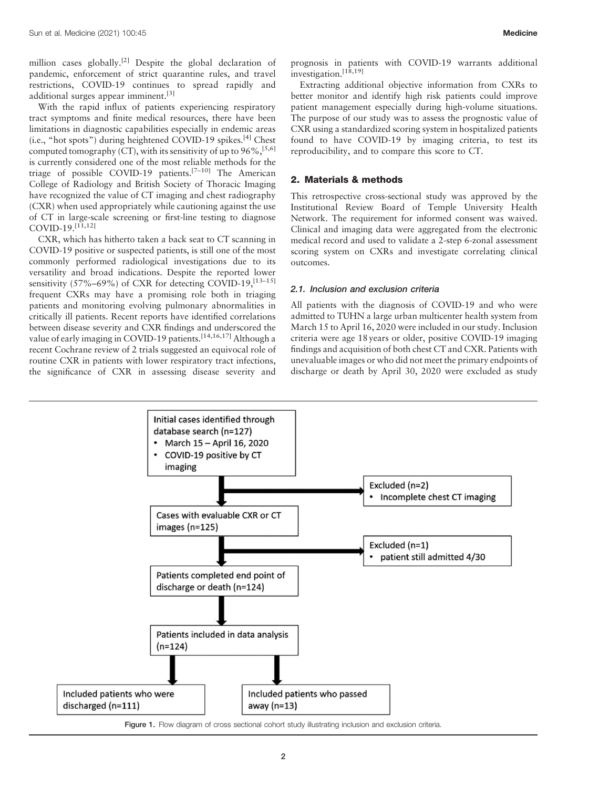million cases globally.[2] Despite the global declaration of pandemic, enforcement of strict quarantine rules, and travel restrictions, COVID-19 continues to spread rapidly and additional surges appear imminent.<sup>[3]</sup>

With the rapid influx of patients experiencing respiratory tract symptoms and finite medical resources, there have been limitations in diagnostic capabilities especially in endemic areas  $(i.e., "hot spots")$  during heightened COVID-19 spikes. $^{[4]}$  Chest computed tomography (CT), with its sensitivity of up to  $96\%,$ <sup>[5,6]</sup> is currently considered one of the most reliable methods for the triage of possible COVID-19 patients.<sup>[7-10]</sup> The American College of Radiology and British Society of Thoracic Imaging have recognized the value of CT imaging and chest radiography (CXR) when used appropriately while cautioning against the use of CT in large-scale screening or first-line testing to diagnose  $COVID-19.$ <sup>[11,12]</sup>

CXR, which has hitherto taken a back seat to CT scanning in COVID-19 positive or suspected patients, is still one of the most commonly performed radiological investigations due to its versatility and broad indications. Despite the reported lower sensitivity  $(57\% - 69\%)$  of CXR for detecting COVID-19,  $^{[13-15]}$ frequent CXRs may have a promising role both in triaging patients and monitoring evolving pulmonary abnormalities in critically ill patients. Recent reports have identified correlations between disease severity and CXR findings and underscored the value of early imaging in COVID-19 patients.<sup>[14,16,17]</sup> Although a recent Cochrane review of 2 trials suggested an equivocal role of routine CXR in patients with lower respiratory tract infections, the significance of CXR in assessing disease severity and

prognosis in patients with COVID-19 warrants additional investigation.<sup>[18,19]</sup>

Extracting additional objective information from CXRs to better monitor and identify high risk patients could improve patient management especially during high-volume situations. The purpose of our study was to assess the prognostic value of CXR using a standardized scoring system in hospitalized patients found to have COVID-19 by imaging criteria, to test its reproducibility, and to compare this score to CT.

## 2. Materials & methods

This retrospective cross-sectional study was approved by the Institutional Review Board of Temple University Health Network. The requirement for informed consent was waived. Clinical and imaging data were aggregated from the electronic medical record and used to validate a 2-step 6-zonal assessment scoring system on CXRs and investigate correlating clinical outcomes.

## 2.1. Inclusion and exclusion criteria

All patients with the diagnosis of COVID-19 and who were admitted to TUHN a large urban multicenter health system from March 15 to April 16, 2020 were included in our study. Inclusion criteria were age 18 years or older, positive COVID-19 imaging findings and acquisition of both chest CT and CXR. Patients with unevaluable images or who did not meet the primary endpoints of discharge or death by April 30, 2020 were excluded as study



Figure 1. Flow diagram of cross sectional cohort study illustrating inclusion and exclusion criteria.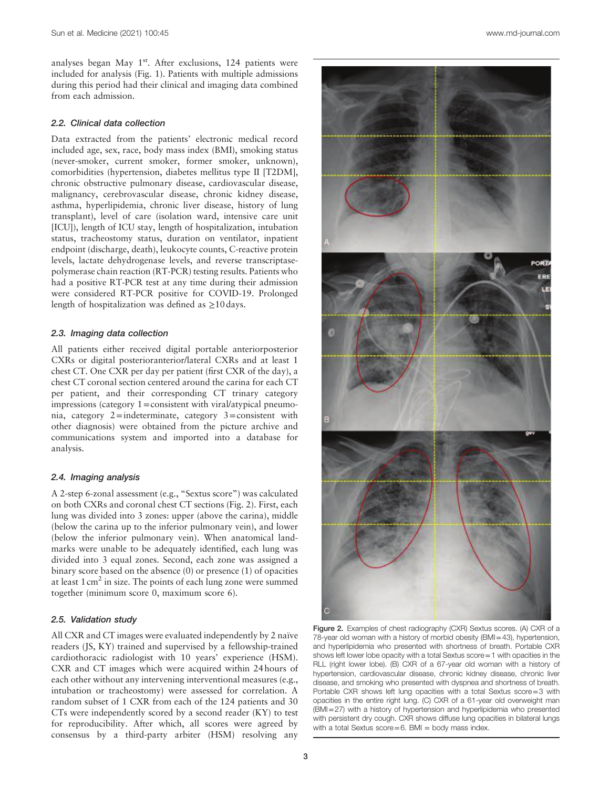analyses began May 1<sup>st</sup>. After exclusions, 124 patients were included for analysis (Fig. 1). Patients with multiple admissions during this period had their clinical and imaging data combined from each admission.

#### 2.2. Clinical data collection

Data extracted from the patients' electronic medical record included age, sex, race, body mass index (BMI), smoking status (never-smoker, current smoker, former smoker, unknown), comorbidities (hypertension, diabetes mellitus type II [T2DM], chronic obstructive pulmonary disease, cardiovascular disease, malignancy, cerebrovascular disease, chronic kidney disease, asthma, hyperlipidemia, chronic liver disease, history of lung transplant), level of care (isolation ward, intensive care unit [ICU]), length of ICU stay, length of hospitalization, intubation status, tracheostomy status, duration on ventilator, inpatient endpoint (discharge, death), leukocyte counts, C-reactive protein levels, lactate dehydrogenase levels, and reverse transcriptasepolymerase chain reaction (RT-PCR) testing results. Patients who had a positive RT-PCR test at any time during their admission were considered RT-PCR positive for COVID-19. Prolonged length of hospitalization was defined as  $\geq$ 10 days.

## 2.3. Imaging data collection

All patients either received digital portable anteriorposterior CXRs or digital posterioranterior/lateral CXRs and at least 1 chest CT. One CXR per day per patient (first CXR of the day), a chest CT coronal section centered around the carina for each CT per patient, and their corresponding CT trinary category impressions (category 1=consistent with viral/atypical pneumonia, category 2=indeterminate, category 3=consistent with other diagnosis) were obtained from the picture archive and communications system and imported into a database for analysis.

#### 2.4. Imaging analysis

A 2-step 6-zonal assessment (e.g., "Sextus score") was calculated on both CXRs and coronal chest CT sections (Fig. 2). First, each lung was divided into 3 zones: upper (above the carina), middle (below the carina up to the inferior pulmonary vein), and lower (below the inferior pulmonary vein). When anatomical landmarks were unable to be adequately identified, each lung was divided into 3 equal zones. Second, each zone was assigned a binary score based on the absence (0) or presence (1) of opacities at least  $1 \text{ cm}^2$  in size. The points of each lung zone were summed together (minimum score 0, maximum score 6).

#### 2.5. Validation study

All CXR and CT images were evaluated independently by 2 naïve readers (JS, KY) trained and supervised by a fellowship-trained cardiothoracic radiologist with 10 years' experience (HSM). CXR and CT images which were acquired within 24 hours of each other without any intervening interventional measures (e.g., intubation or tracheostomy) were assessed for correlation. A random subset of 1 CXR from each of the 124 patients and 30 CTs were independently scored by a second reader (KY) to test for reproducibility. After which, all scores were agreed by consensus by a third-party arbiter (HSM) resolving any



Figure 2. Examples of chest radiography (CXR) Sextus scores. (A) CXR of a 78-year old woman with a history of morbid obesity (BMI=43), hypertension, and hyperlipidemia who presented with shortness of breath. Portable CXR shows left lower lobe opacity with a total Sextus score=1 with opacities in the RLL (right lower lobe). (B) CXR of a 67-year old woman with a history of hypertension, cardiovascular disease, chronic kidney disease, chronic liver disease, and smoking who presented with dyspnea and shortness of breath. Portable CXR shows left lung opacities with a total Sextus score=3 with opacities in the entire right lung. (C) CXR of a 61-year old overweight man (BMI=27) with a history of hypertension and hyperlipidemia who presented with persistent dry cough. CXR shows diffuse lung opacities in bilateral lungs with a total Sextus  $score=6$ . BMI = body mass index.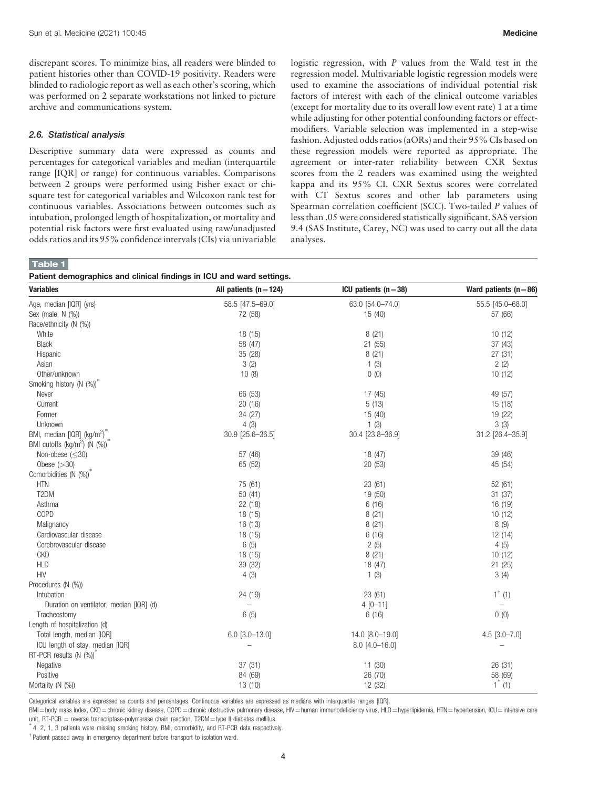discrepant scores. To minimize bias, all readers were blinded to patient histories other than COVID-19 positivity. Readers were blinded to radiologic report as well as each other's scoring, which was performed on 2 separate workstations not linked to picture archive and communications system.

#### 2.6. Statistical analysis

Descriptive summary data were expressed as counts and percentages for categorical variables and median (interquartile range [IQR] or range) for continuous variables. Comparisons between 2 groups were performed using Fisher exact or chisquare test for categorical variables and Wilcoxon rank test for continuous variables. Associations between outcomes such as intubation, prolonged length of hospitalization, or mortality and potential risk factors were first evaluated using raw/unadjusted odds ratios and its 95% confidence intervals (CIs) via univariable logistic regression, with P values from the Wald test in the regression model. Multivariable logistic regression models were used to examine the associations of individual potential risk factors of interest with each of the clinical outcome variables (except for mortality due to its overall low event rate) 1 at a time while adjusting for other potential confounding factors or effectmodifiers. Variable selection was implemented in a step-wise fashion. Adjusted odds ratios (aORs) and their 95% CIs based on these regression models were reported as appropriate. The agreement or inter-rater reliability between CXR Sextus scores from the 2 readers was examined using the weighted kappa and its 95% CI. CXR Sextus scores were correlated with CT Sextus scores and other lab parameters using Spearman correlation coefficient (SCC). Two-tailed P values of less than .05 were considered statistically significant. SAS version 9.4 (SAS Institute, Carey, NC) was used to carry out all the data analyses.

# Table 1

Patient demographics and clinical findings in ICU and ward settings.

| aucht achnographios and oilinoar midirige in 100 and ward scuings<br><b>Variables</b> | All patients $(n=124)$   | ICU patients $(n=38)$ | Ward patients $(n=86)$ |
|---------------------------------------------------------------------------------------|--------------------------|-----------------------|------------------------|
| Age, median [IQR] (yrs)                                                               | 58.5 [47.5-69.0]         | 63.0 [54.0-74.0]      | 55.5 [45.0-68.0]       |
| Sex (male, $N$ $(\%)$ )                                                               | 72 (58)                  | 15(40)                | 57 (66)                |
| Race/ethnicity (N (%))                                                                |                          |                       |                        |
| White                                                                                 | 18 (15)                  | 8(21)                 | 10(12)                 |
| <b>Black</b>                                                                          | 58 (47)                  | 21(55)                | 37(43)                 |
| Hispanic                                                                              | 35 (28)                  | 8(21)                 | 27(31)                 |
| Asian                                                                                 | 3(2)                     | 1(3)                  | 2(2)                   |
| Other/unknown                                                                         | 10(8)                    | 0(0)                  | 10(12)                 |
| Smoking history (N (%))                                                               |                          |                       |                        |
| Never                                                                                 | 66 (53)                  | 17(45)                | 49 (57)                |
| Current                                                                               | 20(16)                   | 5(13)                 | 15(18)                 |
| Former                                                                                | 34 (27)                  | 15(40)                | 19 (22)                |
| Unknown                                                                               | 4(3)                     | 1(3)                  | 3(3)                   |
| BMI, median [IQR] (kg/m <sup>2</sup> ) <sup>*</sup>                                   | 30.9 [25.6-36.5]         | 30.4 [23.8-36.9]      | 31.2 [26.4-35.9]       |
| BMI cutoffs (kg/m <sup>2</sup> ) (N (%)) <sup>2</sup>                                 |                          |                       |                        |
| Non-obese $(<30)$                                                                     | 57 (46)                  | 18 (47)               | 39 (46)                |
| Obese $(>30)$                                                                         | 65 (52)                  | 20(53)                | 45 (54)                |
| Comorbidities (N (%))                                                                 |                          |                       |                        |
| <b>HTN</b>                                                                            | 75 (61)                  | 23(61)                | 52 (61)                |
| T2DM                                                                                  | 50(41)                   | 19 (50)               | 31(37)                 |
| Asthma                                                                                | 22 (18)                  | 6(16)                 | 16 (19)                |
| COPD                                                                                  | 18 (15)                  | 8(21)                 | 10(12)                 |
| Malignancy                                                                            | 16 (13)                  | 8(21)                 | 8(9)                   |
| Cardiovascular disease                                                                | 18(15)                   | 6(16)                 | 12 (14)                |
| Cerebrovascular disease                                                               | 6(5)                     | 2(5)                  | 4(5)                   |
| <b>CKD</b>                                                                            | 18 (15)                  | 8(21)                 | 10(12)                 |
| <b>HLD</b>                                                                            | 39 (32)                  | 18 (47)               | 21(25)                 |
| <b>HIV</b>                                                                            | 4(3)                     | 1(3)                  | 3(4)                   |
| Procedures (N (%))                                                                    |                          |                       |                        |
| Intubation                                                                            | 24 (19)                  | 23(61)                | $1^{\dagger}$ (1)      |
| Duration on ventilator, median [IQR] (d)                                              | $\overline{\phantom{0}}$ | $4[0 - 11]$           |                        |
| Tracheostomy                                                                          | 6(5)                     | 6(16)                 | 0(0)                   |
| Length of hospitalization (d)                                                         |                          |                       |                        |
| Total length, median [IQR]                                                            | $6.0$ [3.0-13.0]         | 14.0 [8.0-19.0]       | $4.5$ [3.0-7.0]        |
| ICU length of stay, median [IQR]                                                      |                          | $8.0$ [4.0-16.0]      |                        |
| RT-PCR results (N (%))                                                                |                          |                       |                        |
| Negative                                                                              | 37(31)                   | 11(30)                | 26 (31)                |
| Positive                                                                              | 84 (69)                  | 26 (70)               | 58 (69)                |
| Mortality (N (%))                                                                     | 13(10)                   | 12 (32)               | $1^*$ (1)              |

Categorical variables are expressed as counts and percentages. Continuous variables are expressed as medians with interquartile ranges [IQR].

BMI=body mass index, CKD=chronic kidney disease, COPD=chronic obstructive pulmonary disease, HIV=human immunodeficiency virus, HLD=hyperlipidemia, HTN=hypertension, ICU=intensive care unit, RT-PCR = reverse transcriptase-polymerase chain reaction, T2DM=type II diabetes mellitus.

4, 2, 1, 3 patients were missing smoking history, BMI, comorbidity, and RT-PCR data respectively.

† Patient passed away in emergency department before transport to isolation ward.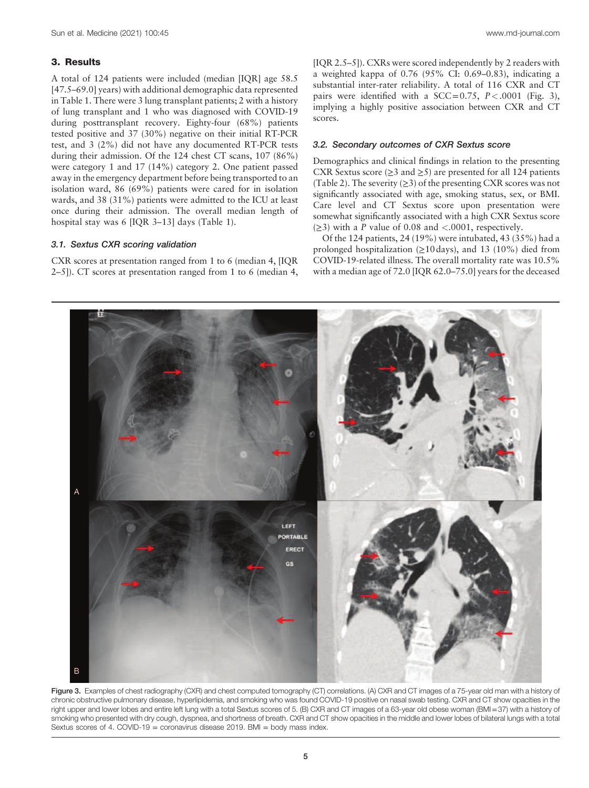## 3. Results

A total of 124 patients were included (median [IQR] age 58.5 [47.5–69.0] years) with additional demographic data represented in Table 1. There were 3 lung transplant patients; 2 with a history of lung transplant and 1 who was diagnosed with COVID-19 during posttransplant recovery. Eighty-four (68%) patients tested positive and 37 (30%) negative on their initial RT-PCR test, and 3 (2%) did not have any documented RT-PCR tests during their admission. Of the 124 chest CT scans, 107 (86%) were category 1 and 17 (14%) category 2. One patient passed away in the emergency department before being transported to an isolation ward, 86 (69%) patients were cared for in isolation wards, and 38 (31%) patients were admitted to the ICU at least once during their admission. The overall median length of hospital stay was 6 [IQR 3–13] days (Table 1).

## 3.1. Sextus CXR scoring validation

CXR scores at presentation ranged from 1 to 6 (median 4, [IQR 2–5]). CT scores at presentation ranged from 1 to 6 (median 4, [IQR 2.5–5]). CXRs were scored independently by 2 readers with a weighted kappa of 0.76 (95% CI: 0.69–0.83), indicating a substantial inter-rater reliability. A total of 116 CXR and CT pairs were identified with a SCC=0.75,  $P < .0001$  (Fig. 3), implying a highly positive association between CXR and CT scores.

#### 3.2. Secondary outcomes of CXR Sextus score

Demographics and clinical findings in relation to the presenting CXR Sextus score ( $\geq$ 3 and  $\geq$ 5) are presented for all 124 patients (Table 2). The severity  $(\geq 3)$  of the presenting CXR scores was not significantly associated with age, smoking status, sex, or BMI. Care level and CT Sextus score upon presentation were somewhat significantly associated with a high CXR Sextus score  $(\geq 3)$  with a P value of 0.08 and <.0001, respectively.

Of the 124 patients, 24 (19%) were intubated, 43 (35%) had a prolonged hospitalization  $(≥10 \text{ days})$ , and 13 (10%) died from COVID-19-related illness. The overall mortality rate was 10.5% with a median age of 72.0 [IQR 62.0–75.0] years for the deceased



Figure 3. Examples of chest radiography (CXR) and chest computed tomography (CT) correlations. (A) CXR and CT images of a 75-year old man with a history of chronic obstructive pulmonary disease, hyperlipidemia, and smoking who was found COVID-19 positive on nasal swab testing. CXR and CT show opacities in the right upper and lower lobes and entire left lung with a total Sextus scores of 5. (B) CXR and CT images of a 63-year old obese woman (BMI=37) with a history of smoking who presented with dry cough, dyspnea, and shortness of breath. CXR and CT show opacities in the middle and lower lobes of bilateral lungs with a total Sextus scores of 4. COVID-19 = coronavirus disease 2019. BMI = body mass index.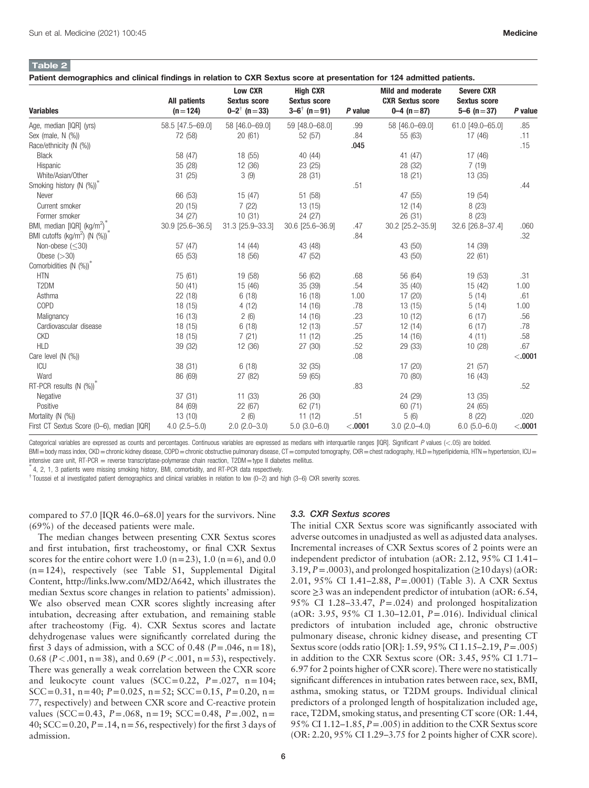# Table 2

admission.

Patient demographics and clinical findings in relation to CXR Sextus score at presentation for 124 admitted patients.

|                                                           | All patients     | <b>Low CXR</b><br><b>Sextus score</b> | <b>High CXR</b><br><b>Sextus score</b> |         | <b>Mild and moderate</b><br><b>CXR Sextus score</b> | <b>Severe CXR</b><br><b>Sextus score</b> |          |
|-----------------------------------------------------------|------------------|---------------------------------------|----------------------------------------|---------|-----------------------------------------------------|------------------------------------------|----------|
| <b>Variables</b>                                          | $(n=124)$        | $0 - 2^{\dagger}$ (n = 33)            | $3-6^{\dagger}$ (n = 91)               | P value | $0-4$ (n = 87)                                      | $5-6$ (n = 37)                           | P value  |
| Age, median [IQR] (yrs)                                   | 58.5 [47.5-69.0] | 58 [46.0-69.0]                        | 59 [48.0-68.0]                         | .99     | 58 [46.0-69.0]                                      | 61.0 [49.0-65.0]                         | .85      |
| Sex (male, N (%))                                         | 72 (58)          | 20(61)                                | 52 (57)                                | .84     | 55 (63)                                             | 17 (46)                                  | .11      |
| Race/ethnicity (N (%))                                    |                  |                                       |                                        | .045    |                                                     |                                          | .15      |
| <b>Black</b>                                              | 58 (47)          | 18 (55)                               | 40 (44)                                |         | 41 (47)                                             | 17 (46)                                  |          |
| Hispanic                                                  | 35 (28)          | 12 (36)                               | 23 (25)                                |         | 28 (32)                                             | 7(19)                                    |          |
| White/Asian/Other                                         | 31(25)           | 3(9)                                  | 28 (31)                                |         | 18(21)                                              | 13(35)                                   |          |
| Smoking history (N (%))                                   |                  |                                       |                                        | .51     |                                                     |                                          | .44      |
| Never                                                     | 66 (53)          | 15(47)                                | 51 (58)                                |         | 47 (55)                                             | 19 (54)                                  |          |
| Current smoker                                            | 20(15)           | 7(22)                                 | 13(15)                                 |         | 12(14)                                              | 8(23)                                    |          |
| Former smoker                                             | 34 (27)          | 10(31)                                | 24 (27)                                |         | 26(31)                                              | 8(23)                                    |          |
| BMI, median [IQR] (kg/m <sup>2</sup> )                    | 30.9 [25.6-36.5] | 31.3 [25.9-33.3]                      | 30.6 [25.6-36.9]                       | .47     | 30.2 [25.2-35.9]                                    | 32.6 [26.8-37.4]                         | .060     |
| BMI cutoffs (kg/m <sup>2</sup> ) (N $(\%)$ ) <sup>*</sup> |                  |                                       |                                        | .84     |                                                     |                                          | .32      |
| Non-obese $(<30)$                                         | 57 (47)          | 14 (44)                               | 43 (48)                                |         | 43 (50)                                             | 14 (39)                                  |          |
| Obese $(>30)$                                             | 65 (53)          | 18 (56)                               | 47 (52)                                |         | 43 (50)                                             | 22(61)                                   |          |
| Comorbidities (N (%))                                     |                  |                                       |                                        |         |                                                     |                                          |          |
| <b>HTN</b>                                                | 75 (61)          | 19 (58)                               | 56 (62)                                | .68     | 56 (64)                                             | 19 (53)                                  | .31      |
| T2DM                                                      | 50(41)           | 15 (46)                               | 35 (39)                                | .54     | 35(40)                                              | 15 (42)                                  | 1.00     |
| Asthma                                                    | 22(18)           | 6(18)                                 | 16(18)                                 | 1.00    | 17(20)                                              | 5(14)                                    | .61      |
| COPD                                                      | 18 (15)          | 4(12)                                 | 14 (16)                                | .78     | 13(15)                                              | 5(14)                                    | 1.00     |
| Malignancy                                                | 16 (13)          | 2(6)                                  | 14 (16)                                | .23     | 10(12)                                              | 6(17)                                    | .56      |
| Cardiovascular disease                                    | 18 (15)          | 6(18)                                 | 12(13)                                 | .57     | 12(14)                                              | 6(17)                                    | .78      |
| <b>CKD</b>                                                | 18 (15)          | 7(21)                                 | 11(12)                                 | .25     | 14 (16)                                             | 4(11)                                    | .58      |
| <b>HLD</b>                                                | 39 (32)          | 12 (36)                               | 27 (30)                                | .52     | 29 (33)                                             | 10(28)                                   | .67      |
| Care level $(N (%))$                                      |                  |                                       |                                        | .08     |                                                     |                                          | $-.0001$ |
| <b>ICU</b>                                                | 38 (31)          | 6(18)                                 | 32(35)                                 |         | 17(20)                                              | 21(57)                                   |          |
| Ward                                                      | 86 (69)          | 27 (82)                               | 59 (65)                                |         | 70 (80)                                             | 16 (43)                                  |          |
| RT-PCR results (N (%))                                    |                  |                                       |                                        | .83     |                                                     |                                          | .52      |
| Negative                                                  | 37(31)           | 11(33)                                | 26 (30)                                |         | 24 (29)                                             | 13(35)                                   |          |
| Positive                                                  | 84 (69)          | 22 (67)                               | 62(71)                                 |         | 60(71)                                              | 24 (65)                                  |          |
| Mortality (N (%))                                         | 13(10)           | 2(6)                                  | 11(12)                                 | .51     | 5(6)                                                | 8(22)                                    | .020     |
| First CT Sextus Score (0-6), median [IQR]                 | $4.0(2.5 - 5.0)$ | $2.0$ ( $2.0 - 3.0$ )                 | $5.0(3.0-6.0)$                         | < .0001 | $3.0(2.0-4.0)$                                      | $6.0(5.0-6.0)$                           | < .0001  |

Categorical variables are expressed as counts and percentages. Continuous variables are expressed as medians with interquartile ranges [IQR]. Significant P values (<.05) are bolded.

BMI=body mass index, CKD=chronic kidney disease, COPD=chronic obstructive pulmonary disease, CT=computed tomography, CXR=chest radiography, HLD=hyperlipidemia, HTN=hypertension, ICU= intensive care unit, RT-PCR = reverse transcriptase-polymerase chain reaction, T2DM=type II diabetes mellitus.

4, 2, 1, 3 patients were missing smoking history, BMI, comorbidity, and RT-PCR data respectively.

 $^\dagger$  Toussei et al investigated patient demographics and clinical variables in relation to low (0–2) and high (3–6) CXR severity scores.

compared to 57.0 [IQR 46.0–68.0] years for the survivors. Nine (69%) of the deceased patients were male.

# The median changes between presenting CXR Sextus scores and first intubation, first tracheostomy, or final CXR Sextus scores for the entire cohort were 1.0 ( $n=23$ ), 1.0 ( $n=6$ ), and 0.0 (n=124), respectively (see Table S1, Supplemental Digital Content, [http://links.lww.com/MD2/A642,](http://links.lww.com/MD2/A642) which illustrates the median Sextus score changes in relation to patients' admission). We also observed mean CXR scores slightly increasing after intubation, decreasing after extubation, and remaining stable after tracheostomy (Fig. 4). CXR Sextus scores and lactate dehydrogenase values were significantly correlated during the first 3 days of admission, with a SCC of 0.48 ( $P = .046$ ,  $n = 18$ ), 0.68 ( $P < .001$ , n = 38), and 0.69 ( $P < .001$ , n = 53), respectively. There was generally a weak correlation between the CXR score and leukocyte count values  $(SCC=0.22, P=.027, n=104;$ SCC=0.31, n=40;  $P=0.025$ , n=52; SCC=0.15,  $P=0.20$ , n= 77, respectively) and between CXR score and C-reactive protein values (SCC=0.43,  $P = .068$ , n=19; SCC=0.48,  $P = .002$ , n= 40;  $SCC = 0.20$ ,  $P = .14$ ,  $n = 56$ , respectively) for the first 3 days of

#### 3.3. CXR Sextus scores

The initial CXR Sextus score was significantly associated with adverse outcomes in unadjusted as well as adjusted data analyses. Incremental increases of CXR Sextus scores of 2 points were an independent predictor of intubation (aOR: 2.12, 95% CI 1.41– 3.19,  $P = .0003$ ), and prolonged hospitalization ( $\geq 10$  days) (aOR: 2.01, 95% CI 1.41–2.88, P=.0001) (Table 3). A CXR Sextus score  $\geq$ 3 was an independent predictor of intubation (aOR: 6.54, 95% CI 1.28–33.47, P=.024) and prolonged hospitalization (aOR: 3.95, 95% CI 1.30–12.01, P=.016). Individual clinical predictors of intubation included age, chronic obstructive pulmonary disease, chronic kidney disease, and presenting CT Sextus score (odds ratio [OR]: 1.59, 95% CI 1.15–2.19, P=.005) in addition to the CXR Sextus score (OR: 3.45, 95% CI 1.71– 6.97 for 2 points higher of CXR score). There were no statistically significant differences in intubation rates between race, sex, BMI, asthma, smoking status, or T2DM groups. Individual clinical predictors of a prolonged length of hospitalization included age, race, T2DM, smoking status, and presenting CT score (OR: 1.44, 95% CI 1.12–1.85,  $P = .005$ ) in addition to the CXR Sextus score (OR: 2.20, 95% CI 1.29–3.75 for 2 points higher of CXR score).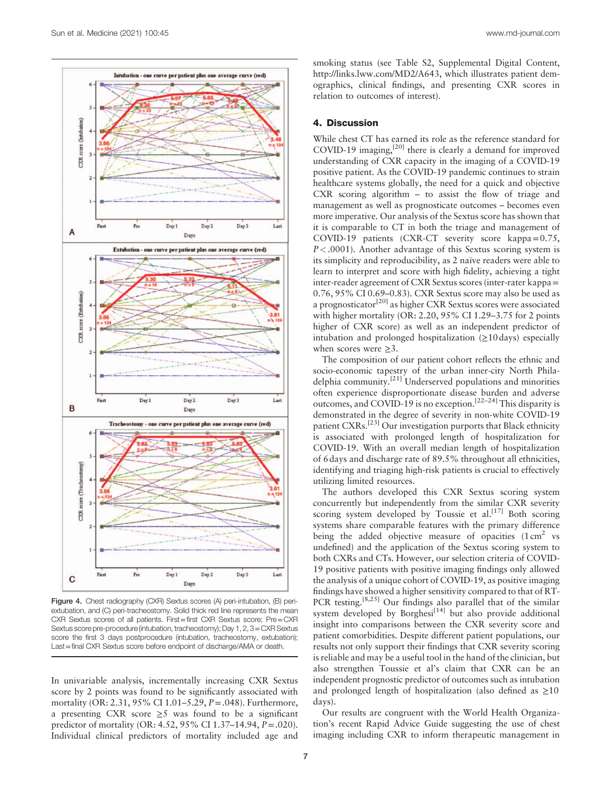

Figure 4. Chest radiography (CXR) Sextus scores (A) peri-intubation, (B) periextubation, and (C) peri-tracheostomy. Solid thick red line represents the mean CXR Sextus scores of all patients. First=first CXR Sextus score; Pre=CXR Sextus score pre-procedure (intubation, tracheostomy); Day 1, 2, 3=CXR Sextus score the first 3 days postprocedure (intubation, tracheostomy, extubation); Last=final CXR Sextus score before endpoint of discharge/AMA or death.

In univariable analysis, incrementally increasing CXR Sextus score by 2 points was found to be significantly associated with mortality (OR: 2.31, 95% CI 1.01–5.29, P=.048). Furthermore, a presenting CXR score  $\geq$ 5 was found to be a significant predictor of mortality (OR: 4.52, 95% CI 1.37–14.94, P=.020). Individual clinical predictors of mortality included age and

smoking status (see Table S2, Supplemental Digital Content, [http://links.lww.com/MD2/A643,](http://links.lww.com/MD2/A643) which illustrates patient demographics, clinical findings, and presenting CXR scores in relation to outcomes of interest).

## 4. Discussion

While chest CT has earned its role as the reference standard for COVID-19 imaging, $^{[20]}$  there is clearly a demand for improved understanding of CXR capacity in the imaging of a COVID-19 positive patient. As the COVID-19 pandemic continues to strain healthcare systems globally, the need for a quick and objective CXR scoring algorithm – to assist the flow of triage and management as well as prognosticate outcomes – becomes even more imperative. Our analysis of the Sextus score has shown that it is comparable to CT in both the triage and management of COVID-19 patients (CXR-CT severity score kappa=0.75,  $P < .0001$ ). Another advantage of this Sextus scoring system is its simplicity and reproducibility, as 2 naïve readers were able to learn to interpret and score with high fidelity, achieving a tight inter-reader agreement of CXR Sextus scores (inter-rater kappa= 0.76, 95% CI 0.69–0.83). CXR Sextus score may also be used as a prognosticator[20] as higher CXR Sextus scores were associated with higher mortality (OR: 2.20, 95% CI 1.29–3.75 for 2 points higher of CXR score) as well as an independent predictor of intubation and prolonged hospitalization  $(\geq 10 \text{ days})$  especially when scores were  $\geq 3$ .

The composition of our patient cohort reflects the ethnic and socio-economic tapestry of the urban inner-city North Philadelphia community.[21] Underserved populations and minorities often experience disproportionate disease burden and adverse outcomes, and COVID-19 is no exception.[22–24] This disparity is demonstrated in the degree of severity in non-white COVID-19 patient CXRs.[23] Our investigation purports that Black ethnicity is associated with prolonged length of hospitalization for COVID-19. With an overall median length of hospitalization of 6 days and discharge rate of 89.5% throughout all ethnicities, identifying and triaging high-risk patients is crucial to effectively utilizing limited resources.

The authors developed this CXR Sextus scoring system concurrently but independently from the similar CXR severity scoring system developed by Toussie et al.<sup>[17]</sup> Both scoring systems share comparable features with the primary difference being the added objective measure of opacities  $(1 \text{ cm}^2 \text{ vs } 1 \text{ cm}^2))$ undefined) and the application of the Sextus scoring system to both CXRs and CTs. However, our selection criteria of COVID-19 positive patients with positive imaging findings only allowed the analysis of a unique cohort of COVID-19, as positive imaging findings have showed a higher sensitivity compared to that of RT-PCR testing.<sup>[8,25]</sup> Our findings also parallel that of the similar system developed by Borghesi<sup>[14]</sup> but also provide additional insight into comparisons between the CXR severity score and patient comorbidities. Despite different patient populations, our results not only support their findings that CXR severity scoring is reliable and may be a useful tool in the hand of the clinician, but also strengthen Toussie et al's claim that CXR can be an independent prognostic predictor of outcomes such as intubation and prolonged length of hospitalization (also defined as  $\geq 10$ ) days).

Our results are congruent with the World Health Organization's recent Rapid Advice Guide suggesting the use of chest imaging including CXR to inform therapeutic management in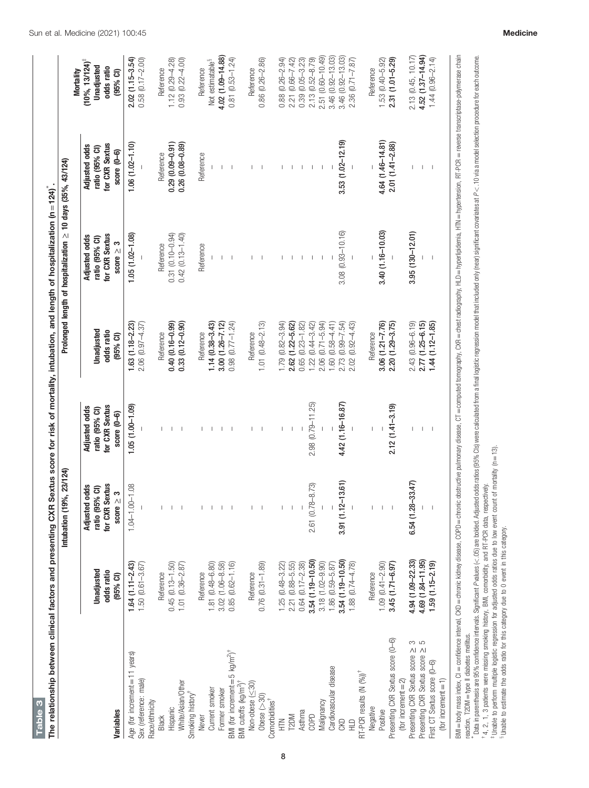| $1.64(1.11 - 2.43)$<br>$0.45(0.13 - 1.50)$<br>$1.50(0.61 - 3.67)$<br>Unadjusted<br>odds ratio<br>Reference<br>$(95%$ CI)<br>Age (for increment = 11 years)<br>Sex (reference: male)<br>Race/ethnicity<br>Hispanic<br>Variables<br>Black | 9%, 23/124)<br>Intubation (1                                                         |                                                                           |                                            |                                                                            | Prolonged length of hospitalization $\geq$ 10 days (35%, 43/124)         |                                                                                       |
|-----------------------------------------------------------------------------------------------------------------------------------------------------------------------------------------------------------------------------------------|--------------------------------------------------------------------------------------|---------------------------------------------------------------------------|--------------------------------------------|----------------------------------------------------------------------------|--------------------------------------------------------------------------|---------------------------------------------------------------------------------------|
|                                                                                                                                                                                                                                         | <b>Sextus</b><br><b>Adjusted odds</b><br>ratio (95% CI)<br>score $\geq 3$<br>for CXR | for CXR Sextus<br><b>Adjusted odds</b><br>ratio (95% CI)<br>score $(0-6)$ | Unadjusted<br>odds ratio<br>$(95%$ CI)     | for CXR Sextus<br><b>Adjusted odds</b><br>ratio (95% CI)<br>score $\geq 3$ | for CXR Sextus<br><b>Adjusted odds</b><br>ratio (95% CI)<br>$score(0-6)$ | $(10\%, 13/124)^{\frac{1}{4}}$<br>Unadjusted<br>odds ratio<br>Mortality<br>$(95%$ CI) |
|                                                                                                                                                                                                                                         | $1.04 - 1.00 - 1.08$                                                                 | $1.05(1.00 - 1.09)$                                                       | $1.63(1.18 - 2.23)$<br>$2.06(0.97 - 4.37)$ | $1.05(1.02 - 1.08)$                                                        | $1.06(1.02 - 1.10)$                                                      | $2.02(1.15 - 3.54)$<br>$0.58(0.17 - 2.00)$                                            |
|                                                                                                                                                                                                                                         |                                                                                      |                                                                           | Reference                                  | Reference                                                                  | Reference                                                                | Reference                                                                             |
|                                                                                                                                                                                                                                         |                                                                                      |                                                                           | $0.40(0.16 - 0.99)$                        | $0.31(0.10 - 0.94)$                                                        | $0.29(0.09 - 0.91)$                                                      | $1.12(0.29 - 4.28)$                                                                   |
| $1.01 (0.36 - 2.87)$<br>White/Asian/Other<br>Smoking history                                                                                                                                                                            |                                                                                      |                                                                           | $0.33(0.12 - 0.90)$                        | $0.42$ $(0.13 - 1.40)$                                                     | $0.26(0.08 - 0.89)$                                                      | $0.93(0.22 - 4.00)$                                                                   |
| Reference<br>Never                                                                                                                                                                                                                      |                                                                                      |                                                                           | Reference                                  | Reference                                                                  | Reference                                                                | Reference                                                                             |
| $1.81(0.48 - 6.80)$<br>Current smoker                                                                                                                                                                                                   |                                                                                      |                                                                           | $1.14(0.38 - 3.43)$                        |                                                                            |                                                                          | Not estimatable <sup>§</sup>                                                          |
| $3.02$ $(1.06 - 8.58)$<br>Former smoker                                                                                                                                                                                                 |                                                                                      |                                                                           | $3.00(1.26 - 7.12)$                        |                                                                            |                                                                          | 4.02 (1.09-14.88)                                                                     |
| $0.85$ $(0.62 - 1.16)$<br>BMI (for increment = 5 $kg/m^2$ ) <sup>†</sup>                                                                                                                                                                |                                                                                      |                                                                           | $0.98$ $(0.77 - 1.24)$                     |                                                                            |                                                                          | $0.81(0.53 - 1.24)$                                                                   |
| Reference<br>Non-obese (<30)<br>BMI cutoffs (kg/m <sup>2</sup> ) <sup>†</sup>                                                                                                                                                           |                                                                                      |                                                                           | Reference                                  |                                                                            |                                                                          | Reference                                                                             |
| $0.76$ $(0.31 - 1.89)$<br>Obese $($ $>$ 30)                                                                                                                                                                                             |                                                                                      |                                                                           | $1.01 (0.48 - 2.13)$                       |                                                                            |                                                                          | $0.86$ $(0.26 - 2.86)$                                                                |
| Comorbidities <sup>†</sup>                                                                                                                                                                                                              |                                                                                      |                                                                           |                                            |                                                                            |                                                                          |                                                                                       |
| $1.25(0.48 - 3.22)$<br>三<br>王                                                                                                                                                                                                           |                                                                                      |                                                                           | 1.79 (0.82-3.94)                           |                                                                            |                                                                          | $0.88$ $(0.26 - 2.94)$                                                                |
| $2.21(0.88 - 5.55)$<br>T2DM                                                                                                                                                                                                             |                                                                                      |                                                                           | 2.62 (1.22-5.62)                           |                                                                            |                                                                          | 2.21 (0.66-7.42)                                                                      |
| $0.64$ $(0.17 - 2.38)$<br>Asthma                                                                                                                                                                                                        |                                                                                      |                                                                           | $0.65$ $(0.23 - 1.82)$                     |                                                                            |                                                                          | $0.39(0.05 - 3.23)$                                                                   |
| $3.54(1.19 - 10.50)$<br>COPD                                                                                                                                                                                                            | 2.61 (0.78-8.73)                                                                     | 2.98 (0.79-11.25)                                                         | $1.22(0.44 - 3.42)$                        |                                                                            |                                                                          | 2.13 (0.52-8.79)                                                                      |
| $3.18(1.02 - 9.90)$<br>Malignancy                                                                                                                                                                                                       |                                                                                      |                                                                           | 2.06 (0.71-5.94)                           |                                                                            |                                                                          | 2.51 (0.60-10.49)                                                                     |
| 1.86 (0.59-5.87)<br>Cardiovascular disease                                                                                                                                                                                              |                                                                                      |                                                                           | $1.60(0.58 - 4.41)$                        |                                                                            |                                                                          | 3.46 (0.92-13.03)                                                                     |
| 3.54 (1.19-10.50)<br><b>CKD</b>                                                                                                                                                                                                         | $3.91(1.12 - 13.61)$                                                                 | 4.42 (1.16-16.87)                                                         | 2.73 (0.99-7.54)                           | $3.08$ $(0.93 - 10.16)$                                                    | $3.53(1.02 - 12.19)$                                                     | 3.46 (0.92-13.03)                                                                     |
| 1.88 (0.74-4.78)<br>RT-PCR results $(N (96))^{\dagger}$<br>$\Xi$                                                                                                                                                                        |                                                                                      |                                                                           | $2.02(0.92 - 4.43)$                        |                                                                            |                                                                          | $2.36$ (0.71-7.87)                                                                    |
| Reference<br>Negative                                                                                                                                                                                                                   |                                                                                      |                                                                           | Reference                                  |                                                                            |                                                                          | Reference                                                                             |
| $1.09(0.41 - 2.90)$<br>Positive                                                                                                                                                                                                         |                                                                                      |                                                                           | $3.06(1.21 - 7.76)$                        | $3.40(1.16 - 10.03)$                                                       | 4.64 (1.46-14.81)                                                        | $1.53(0.40 - 5.92)$                                                                   |
| 3.45 (1.71-6.97)<br>Presenting CXR Sextus score (0-6)                                                                                                                                                                                   |                                                                                      | $2.12(1.41 - 3.19)$                                                       | 2.20 (1.29-3.75)                           |                                                                            | $2.01(1.41 - 2.88)$                                                      | $2.31(1.01 - 5.29)$                                                                   |
| (for increment= $2$ )                                                                                                                                                                                                                   |                                                                                      |                                                                           |                                            |                                                                            |                                                                          |                                                                                       |
| 4.94 (1.09-22.33)<br>3<br>5<br>5<br>Presenting CXR Sextus score ><br>Presenting CXR Sextus score >                                                                                                                                      | $6.54(1.28 - 33.47)$                                                                 |                                                                           | $2.43(0.96 - 6.19)$                        | $3.95(130 - 12.01)$                                                        |                                                                          | 2.13 (0.45, 10.17)                                                                    |
| 4.69 (1.84-11.95)                                                                                                                                                                                                                       |                                                                                      |                                                                           | $2.77$ (1.25-6.15)                         |                                                                            |                                                                          | 4.52 (1.37-14.94)                                                                     |
| $1.59(1.15 - 2.19)$<br>First CT Sextus score (0-6)<br>$(for$ increment $= 1)$                                                                                                                                                           |                                                                                      |                                                                           | $1.44(1.12 - 1.85)$                        |                                                                            | $\overline{\phantom{a}}$                                                 | $1.44(0.96 - 2.14)$                                                                   |
|                                                                                                                                                                                                                                         |                                                                                      |                                                                           |                                            |                                                                            |                                                                          |                                                                                       |

8

Sun et al. Medicine (2021) 100:45 **Medicine** 

Table 3

Table 3

BMI = book nates index, QI = chronic kidney disease, COPD = chronic disease, COPD = computed tomography, CXR = computed tomography, HLD = hyperficional HLN = Phperfension, RT-PCR = revers transsurprasse characterial inginat:  $\frac{a}{b}$ ă l<br>F ≧ iyapiiy, yapıly, ì,  $\leq$  $\overline{\mathbf{z}}$ ر<br>ج reaction, T2DM=type II diabetes mellitus. ∗

Data in parenthesis are intervals. Significant P values (<.05) are bolded. Adjusted odds ratics (95% OS) were calculated from a final logistic regression model that included only (near) significant covaries at P  $\sim$  1.0 v

 †‡4, 2, 1, 3 patients were missing smoking history, BMI, comorbidity, and RT-PCR data, respectively.

<sup>u</sup> Unable to perform multiple logistic regression for adjusted odds ratios due to low event count of mortality (n=13).<br><sup>8</sup> Unable to estimate the odds ratio for this category due to 0 event in this category.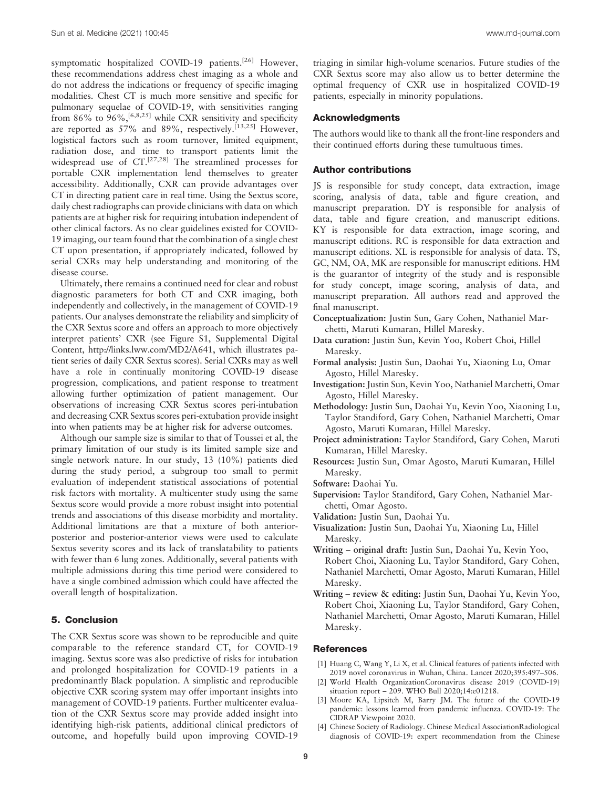symptomatic hospitalized COVID-19 patients.<sup>[26]</sup> However, these recommendations address chest imaging as a whole and do not address the indications or frequency of specific imaging modalities. Chest CT is much more sensitive and specific for pulmonary sequelae of COVID-19, with sensitivities ranging from 86% to 96%,  $[6,8,25]$  while CXR sensitivity and specificity are reported as 57% and 89%, respectively.<sup>[13,25]</sup> However, logistical factors such as room turnover, limited equipment, radiation dose, and time to transport patients limit the widespread use of  $CT<sup>[27,28]</sup>$  The streamlined processes for portable CXR implementation lend themselves to greater accessibility. Additionally, CXR can provide advantages over CT in directing patient care in real time. Using the Sextus score, daily chest radiographs can provide clinicians with data on which patients are at higher risk for requiring intubation independent of other clinical factors. As no clear guidelines existed for COVID-19 imaging, our team found that the combination of a single chest CT upon presentation, if appropriately indicated, followed by serial CXRs may help understanding and monitoring of the disease course.

Ultimately, there remains a continued need for clear and robust diagnostic parameters for both CT and CXR imaging, both independently and collectively, in the management of COVID-19 patients. Our analyses demonstrate the reliability and simplicity of the CXR Sextus score and offers an approach to more objectively interpret patients' CXR (see Figure S1, Supplemental Digital Content,<http://links.lww.com/MD2/A641>, which illustrates patient series of daily CXR Sextus scores). Serial CXRs may as well have a role in continually monitoring COVID-19 disease progression, complications, and patient response to treatment allowing further optimization of patient management. Our observations of increasing CXR Sextus scores peri-intubation and decreasing CXR Sextus scores peri-extubation provide insight into when patients may be at higher risk for adverse outcomes.

Although our sample size is similar to that of Toussei et al, the primary limitation of our study is its limited sample size and single network nature. In our study, 13 (10%) patients died during the study period, a subgroup too small to permit evaluation of independent statistical associations of potential risk factors with mortality. A multicenter study using the same Sextus score would provide a more robust insight into potential trends and associations of this disease morbidity and mortality. Additional limitations are that a mixture of both anteriorposterior and posterior-anterior views were used to calculate Sextus severity scores and its lack of translatability to patients with fewer than 6 lung zones. Additionally, several patients with multiple admissions during this time period were considered to have a single combined admission which could have affected the overall length of hospitalization.

## 5. Conclusion

The CXR Sextus score was shown to be reproducible and quite comparable to the reference standard CT, for COVID-19 imaging. Sextus score was also predictive of risks for intubation and prolonged hospitalization for COVID-19 patients in a predominantly Black population. A simplistic and reproducible objective CXR scoring system may offer important insights into management of COVID-19 patients. Further multicenter evaluation of the CXR Sextus score may provide added insight into identifying high-risk patients, additional clinical predictors of outcome, and hopefully build upon improving COVID-19

triaging in similar high-volume scenarios. Future studies of the CXR Sextus score may also allow us to better determine the optimal frequency of CXR use in hospitalized COVID-19 patients, especially in minority populations.

## **Acknowledaments**

The authors would like to thank all the front-line responders and their continued efforts during these tumultuous times.

#### Author contributions

JS is responsible for study concept, data extraction, image scoring, analysis of data, table and figure creation, and manuscript preparation. DY is responsible for analysis of data, table and figure creation, and manuscript editions. KY is responsible for data extraction, image scoring, and manuscript editions. RC is responsible for data extraction and manuscript editions. XL is responsible for analysis of data. TS, GC, NM, OA, MK are responsible for manuscript editions. HM is the guarantor of integrity of the study and is responsible for study concept, image scoring, analysis of data, and manuscript preparation. All authors read and approved the final manuscript.

- Conceptualization: Justin Sun, Gary Cohen, Nathaniel Marchetti, Maruti Kumaran, Hillel Maresky.
- Data curation: Justin Sun, Kevin Yoo, Robert Choi, Hillel Maresky.
- Formal analysis: Justin Sun, Daohai Yu, Xiaoning Lu, Omar Agosto, Hillel Maresky.
- Investigation: Justin Sun, Kevin Yoo, Nathaniel Marchetti, Omar Agosto, Hillel Maresky.
- Methodology: Justin Sun, Daohai Yu, Kevin Yoo, Xiaoning Lu, Taylor Standiford, Gary Cohen, Nathaniel Marchetti, Omar Agosto, Maruti Kumaran, Hillel Maresky.
- Project administration: Taylor Standiford, Gary Cohen, Maruti Kumaran, Hillel Maresky.
- Resources: Justin Sun, Omar Agosto, Maruti Kumaran, Hillel Maresky.
- Software: Daohai Yu.
- Supervision: Taylor Standiford, Gary Cohen, Nathaniel Marchetti, Omar Agosto.
- Validation: Justin Sun, Daohai Yu.
- Visualization: Justin Sun, Daohai Yu, Xiaoning Lu, Hillel Maresky.
- Writing original draft: Justin Sun, Daohai Yu, Kevin Yoo, Robert Choi, Xiaoning Lu, Taylor Standiford, Gary Cohen, Nathaniel Marchetti, Omar Agosto, Maruti Kumaran, Hillel Maresky.
- Writing review & editing: Justin Sun, Daohai Yu, Kevin Yoo, Robert Choi, Xiaoning Lu, Taylor Standiford, Gary Cohen, Nathaniel Marchetti, Omar Agosto, Maruti Kumaran, Hillel Maresky.

#### References

- [1] Huang C, Wang Y, Li X, et al. Clinical features of patients infected with 2019 novel coronavirus in Wuhan, China. Lancet 2020;395:497–506.
- [2] World Health OrganizationCoronavirus disease 2019 (COVID-19) situation report – 209. WHO Bull 2020;14:e01218.
- [3] Moore KA, Lipsitch M, Barry JM. The future of the COVID-19 pandemic: lessons learned from pandemic influenza. COVID-19: The CIDRAP Viewpoint 2020.
- [4] Chinese Society of Radiology. Chinese Medical AssociationRadiological diagnosis of COVID-19: expert recommendation from the Chinese